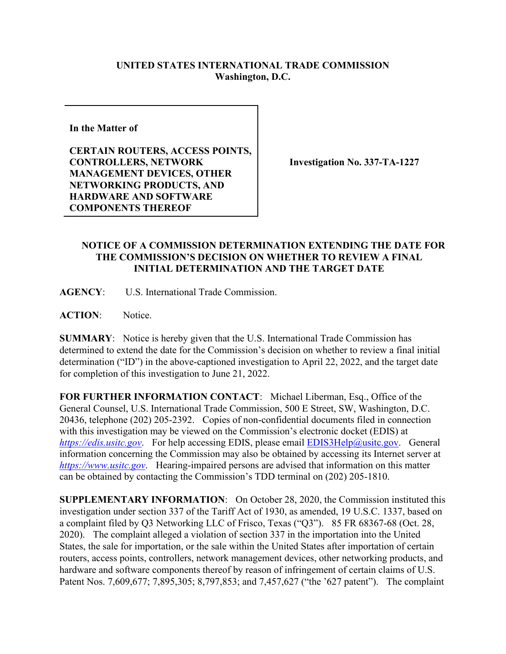## **UNITED STATES INTERNATIONAL TRADE COMMISSION Washington, D.C.**

**In the Matter of** 

**CERTAIN ROUTERS, ACCESS POINTS, CONTROLLERS, NETWORK MANAGEMENT DEVICES, OTHER NETWORKING PRODUCTS, AND HARDWARE AND SOFTWARE COMPONENTS THEREOF**

**Investigation No. 337-TA-1227**

## **NOTICE OF A COMMISSION DETERMINATION EXTENDING THE DATE FOR THE COMMISSION'S DECISION ON WHETHER TO REVIEW A FINAL INITIAL DETERMINATION AND THE TARGET DATE**

**AGENCY**: U.S. International Trade Commission.

**ACTION**: Notice.

**SUMMARY**: Notice is hereby given that the U.S. International Trade Commission has determined to extend the date for the Commission's decision on whether to review a final initial determination ("ID") in the above-captioned investigation to April 22, 2022, and the target date for completion of this investigation to June 21, 2022.

**FOR FURTHER INFORMATION CONTACT**: Michael Liberman, Esq., Office of the General Counsel, U.S. International Trade Commission, 500 E Street, SW, Washington, D.C. 20436, telephone (202) 205-2392. Copies of non-confidential documents filed in connection with this investigation may be viewed on the Commission's electronic docket (EDIS) at *[https://edis.usitc.gov](https://edis.usitc.gov/).* For help accessing EDIS, please email [EDIS3Help@usitc.gov.](mailto:EDIS3Help@usitc.gov) General information concerning the Commission may also be obtained by accessing its Internet server at *[https://www.usitc.gov](https://www.usitc.gov/)*. Hearing-impaired persons are advised that information on this matter can be obtained by contacting the Commission's TDD terminal on (202) 205-1810.

**SUPPLEMENTARY INFORMATION**: On October 28, 2020, the Commission instituted this investigation under section 337 of the Tariff Act of 1930, as amended, 19 U.S.C. 1337, based on a complaint filed by Q3 Networking LLC of Frisco, Texas ("Q3"). 85 FR 68367-68 (Oct. 28, 2020). The complaint alleged a violation of section 337 in the importation into the United States, the sale for importation, or the sale within the United States after importation of certain routers, access points, controllers, network management devices, other networking products, and hardware and software components thereof by reason of infringement of certain claims of U.S. Patent Nos. 7,609,677; 7,895,305; 8,797,853; and 7,457,627 ("the '627 patent"). The complaint